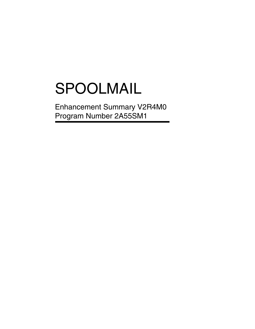# SPOOLMAIL

Enhancement Summary V2R4M0 Program Number 2A55SM1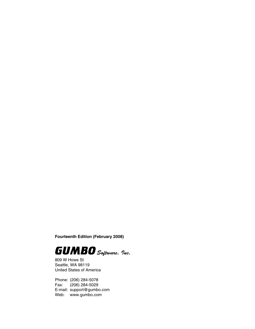**Fourteenth Edition (February 2008)**



809 W Howe St Seattle, WA 98119 United States of America

Phone: (206) 284-5078 Fax: (206) 284-5029 E-mail: support@gumbo.com Web: www.gumbo.com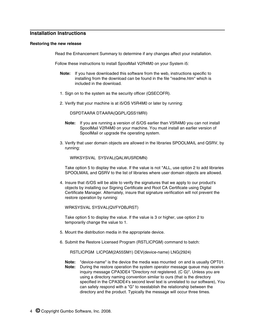# **Installation Instructions**

# **Restoring the new release**

Read the Enhancement Summary to determine if any changes affect your installation.

Follow these instructions to install SpoolMail V2R4M0 on your System i5:

- **Note:** If you have downloaded this software from the web, instructions specific to installing from the download can be found in the file "readme.htm" which is included in the download.
- 1. Sign on to the system as the security officer (QSECOFR).
- 2. Verify that your machine is at i5/OS V5R4M0 or later by running:

DSPDTAARA DTAARA(QGPL/QSS1MRI)

- **Note:** If you are running a version of i5/OS earlier than V5R4M0 you can not install SpoolMail V2R4M0 on your machine. You must install an earlier version of SpoolMail or upgrade the operating system.
- 3. Verify that user domain objects are allowed in the libraries SPOOLMAIL and QSRV, by running:

WRKSYSVAL SYSVAL(QALWUSRDMN)

Take option 5 to display the value. If the value is not \*ALL, use option 2 to add libraries SPOOLMAIL and QSRV to the list of libraries where user domain objects are allowed.

4. Insure that i5/OS will be able to verify the signatures that we apply to our product's objects by installing our Signing Certificate and Root CA Certificate using Digital Certificate Manager. Alternately, insure that signature verification will not prevent the restore operation by running:

WRKSYSVAL SYSVAL(QVFYOBJRST)

Take option 5 to display the value. If the value is 3 or higher, use option 2 to temporarily change the value to 1.

- 5. Mount the distribution media in the appropriate device.
- 6. Submit the Restore Licensed Program (RSTLICPGM) command to batch:

RSTLICPGM LICPGM(2A55SM1) DEV(device-name) LNG(2924)

**Note:** "device-name" is the device the media was mounted on and is usually OPT01. **Note:** During the restore operation the system operator message queue may receive inquiry message CPA3DE4 "Directory not registered. (C G)". Unless you are using a directory naming convention similar to ours (that is the directory specified in the CPA3DE4's second level text is unrelated to our software), You can safely respond with a "G" to reestablish the relationship between the directory and the product. Typically the message will occur three times.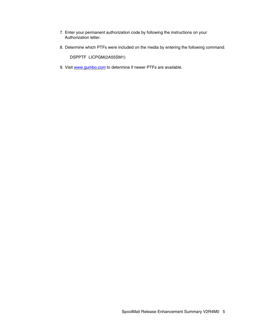- 7. Enter your permanent authorization code by following the instructions on your Authorization letter.
- 8. Determine which PTFs were included on the media by entering the following command:

DSPPTF LICPGM(2A55SM1)

9. Visit www.gumbo.com to determine if newer PTFs are available.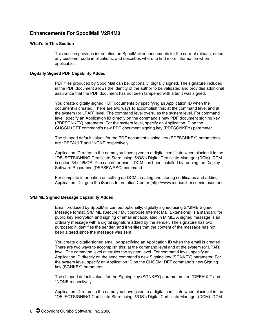# **Enhancements For SpoolMail V2R4M0**

# **What's In This Section**

This section provides information on SpoolMail enhancements for the current release, notes any customer code implications, and describes where to find more information when applicable.

# **Digitally Signed PDF Capability Added**

PDF files produced by SpoolMail can be, optionally, digitally signed. The signature included in the PDF document allows the identity of the author to be validated and provides additional assurance that the PDF document has not been tampered with after it was signed.

You create digitally signed PDF documents by specifying an Application ID when the document is created. There are two ways to accomplish this: at the command level and at the system (or LPAR) level. The command level overrules the system level. For command level, specify an Application ID directly on the command's new PDF document signing key (PDFSGNKEY) parameter. For the system level, specify an Application ID on the CHGSM1DFT command's new PDF document signing key (PDFSGNKEY) parameter.

The shipped default values for the PDF document signing key (PDFSGNKEY) parameters are \*DEFAULT and \*NONE respectively.

Application ID refers to the name you have given to a digital certificate when placing it in the \*OBJECTSIGNING Certificate Store using i5/OS's Digital Certificate Manager (DCM). DCM is option 34 of i5/OS. You can determine if DCM has been installed by running the Display Software Resources (DSPSFWRSC) command.

For complete information on setting up DCM, creating and storing certificates and adding Application IDs, goto the iSeries Information Center (http://www.iseries.ibm.com/infocenter).

# **S/MIME Signed Message Capability Added**

Email produced by SpoolMail can be, optionally, digitally signed using S/MIME Signed Message format. S/MIME (Secure / Multipurpose Internet Mail Extensions) is a standard for public key encryption and signing of email encapsulated in MIME. A signed message is an ordinary message with a digital signature added by the sender. The signature has two purposes: it identifies the sender, and it verifies that the content of the message has not been altered since the message was sent.

You create digitally signed email by specifying an Application ID when the email is created. There are two ways to accomplish this: at the command level and at the system (or LPAR) level. The command level overrules the system level. For command level, specify an Application ID directly on the send command's new Signing key (SGNKEY) parameter. For the system level, specify an Application ID on the CHGSM1DFT command's new Signing key (SGNKEY) parameter.

The shipped default values for the Signing key (SGNKEY) parameters are \*DEFAULT and \*NONE respectively.

Application ID refers to the name you have given to a digital certificate when placing it in the \*OBJECTSIGNING Certificate Store using i5/OS's Digital Certificate Manager (DCM). DCM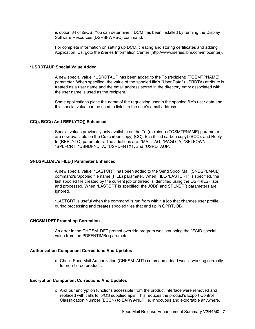is option 34 of i5/OS. You can determine if DCM has been installed by running the Display Software Resources (DSPSFWRSC) command.

For complete information on setting up DCM, creating and storing certificates and adding Application IDs, goto the iSeries Information Center (http://www.iseries.ibm.com/infocenter).

#### **\*USRDTAUP Special Value Added**

A new special value, \*USRDTAUP has been added to the To (recipient) (TOSMTPNAME) parameter. When specified, the value of the spooled file's "User Data" (USRDTA) attribute is treated as a user name and the email address stored in the directory entry associated with the user name is used as the recipient.

Some applications place the name of the requesting user in the spooled file's user data and this special value can be used to link it to the user's email address.

# **CC(), BCC() And REPLYTO() Enhanced**

Special values previously only available on the To (recipient) (TOSMTPNAME) parameter are now available on the Cc (carbon copy) (CC), Bcc (blind carbon copy) (BCC), and Reply to (REPLYTO) parameters. The additions are: \*MAILTAG, \*PAGDTA, \*SPLFOWN, \*SPLFCRT, \*USRDFNDTA, \*USRDFNTXT, and \*USRDTAUP.

### **SNDSPLMAIL's FILE() Parameter Enhanced**

A new special value, \*LASTCRT, has been added to the Send Spool Mail (SNDSPLMAIL) command's Spooled file name (FILE) parameter. When FILE(\*LASTCRT) is specified, the last spooled file created by the current job or thread is identified using the QSPRILSP api and processed. When \*LASTCRT is specified, the JOB() and SPLNBR() parameters are ignored.

\*LASTCRT is useful when the command is run from within a job that changes user profile during processing and creates spooled files that end up in QPRTJOB.

# **CHGSM1DFT Prompting Correction**

An error in the CHGSM1DFT prompt override program was scrubbing the \*FGID special value from the PDFFNTIMB() parameter.

#### **Authorization Component Corrections And Updates**

o Check SpoolMail Authorization (CHKSM1AUT) command added wasn't working correctly for non-tiered products.

### **Encryption Component Corrections And Updates**

o ArcFour encryption functions accessible from the product interface were removed and replaced with calls to i5/OS supplied apis. This reduces the product's Export Control Classification Number (ECCN) to EAR99-NLR i.e. innocuous and exportable anywhere.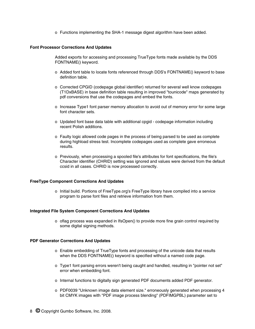o Functions implementing the SHA-1 message digest algorithm have been added.

# **Font Processor Corrections And Updates**

Added exports for accessing and processing TrueType fonts made available by the DDS FONTNAME() keyword.

- o Added font table to locate fonts referenced through DDS's FONTNAME() keyword to base definition table.
- o Corrected CPGID (codepage global identifier) returned for several well know codepages (T1DxBASE) in base definition table resulting in improved "tounicode" maps generated by pdf conversions that use the codepages and embed the fonts.
- o Increase Type1 font parser memory allocation to avoid out of memory error for some large font character sets.
- o Updated font base data table with additional cpgid codepage information including recent Polish additions.
- o Faulty logic allowed code pages in the process of being parsed to be used as complete during highload stress test. Incomplete codepages used as complete gave erroneous results.
- o Previously, when processing a spooled file's attributes for font specifications, the file's Character identifier (CHRID) setting was ignored and values were derived from the default ccsid in all cases. CHRID is now processed correctly.

# **FreeType Component Corrections And Updates**

o Initial build. Portions of FreeType.org's FreeType library have compiled into a service program to parse font files and retrieve information from them.

### **Integrated File System Component Corrections And Updates**

o oflag process was expanded in IfsOpen() to provide more fine grain control required by some digital signing methods.

# **PDF Generator Corrections And Updates**

- o Enable embedding of TrueType fonts and processing of the unicode data that results when the DDS FONTNAME() keyword is specified without a named code page.
- o Type1 font parsing errors weren't being caught and handled, resulting in "pointer not set" error when embedding font.
- o Internal functions to digitally sign generated PDF documents added PDF generator.
- o PDF0039 "Unknown image data element size." erroneously generated when processing 4 bit CMYK images with "PDF image process blending" (PDFIMGPBL) parameter set to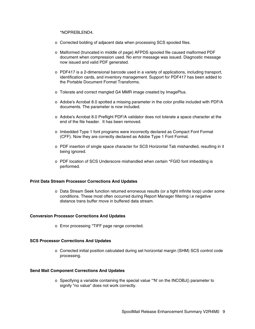\*NOPREBLEND4.

- o Corrected bolding of adjacent data when processing SCS spooled files.
- o Malformed (truncated in middle of page) AFPDS spooled file caused malformed PDF document when compression used. No error message was issued. Diagnostic message now issued and valid PDF generated.
- o PDF417 is a 2-dimensional barcode used in a variety of applications, including transport, identification cards, and inventory management. Support for PDF417 has been added to the Portable Document Format Transforms.
- o Tolerate and correct mangled G4 MMR image created by ImagePlus.
- o Adobe's Acrobat 8.0 spotted a missing parameter in the color profile included with PDF/A documents. The parameter is now included.
- o Adobe's Acrobat 8.0 Preflight PDF/A validator does not tolerate a space character at the end of the file header. It has been removed.
- o Imbedded Type 1 font programs were incorrectly declared as Compact Font Format (CFF). Now they are correctly declared as Adobe Type 1 Font Format.
- o PDF insertion of single space character for SCS Horizontal Tab mishandled, resulting in it being ignored.
- o PDF location of SCS Underscore mishandled when certain \*FGID font imbedding is performed.

# **Print Data Stream Processor Corrections And Updates**

o Data Stream Seek function returned erroneous results (or a tight infinite loop) under some conditions. These most often occurred during Report Manager filtering i.e negative distance trans buffer move in buffered data stream.

### **Conversion Processor Corrections And Updates**

o Error processing \*TIFF page range corrected.

# **SCS Processor Corrections And Updates**

o Corrected initial position calculated during set horizontal margin (SHM) SCS control code processing.

## **Send Mail Component Corrections And Updates**

o Specifying a variable containing the special value '\*N' on the INCOBJ() parameter to signify "no value" does not work correctly.